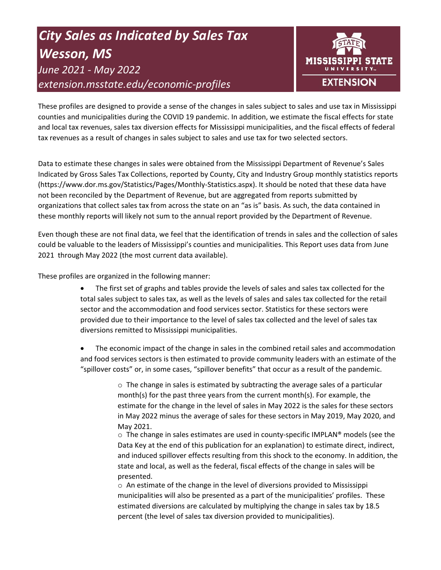# *City Sales as Indicated by Sales Tax Wesson, MS June 2021 - May 2022 extension.msstate.edu/economic-profiles*



These profiles are designed to provide a sense of the changes in sales subject to sales and use tax in Mississippi counties and municipalities during the COVID 19 pandemic. In addition, we estimate the fiscal effects for state and local tax revenues, sales tax diversion effects for Mississippi municipalities, and the fiscal effects of federal tax revenues as a result of changes in sales subject to sales and use tax for two selected sectors.

Data to estimate these changes in sales were obtained from the Mississippi Department of Revenue's Sales Indicated by Gross Sales Tax Collections, reported by County, City and Industry Group monthly statistics reports (https://www.dor.ms.gov/Statistics/Pages/Monthly-Statistics.aspx). It should be noted that these data have not been reconciled by the Department of Revenue, but are aggregated from reports submitted by organizations that collect sales tax from across the state on an "as is" basis. As such, the data contained in these monthly reports will likely not sum to the annual report provided by the Department of Revenue.

Even though these are not final data, we feel that the identification of trends in sales and the collection of sales could be valuable to the leaders of Mississippi's counties and municipalities. This Report uses data from June 2021 through May 2022 (the most current data available).

These profiles are organized in the following manner:

- The first set of graphs and tables provide the levels of sales and sales tax collected for the total sales subject to sales tax, as well as the levels of sales and sales tax collected for the retail sector and the accommodation and food services sector. Statistics for these sectors were provided due to their importance to the level of sales tax collected and the level of sales tax diversions remitted to Mississippi municipalities.
- The economic impact of the change in sales in the combined retail sales and accommodation and food services sectors is then estimated to provide community leaders with an estimate of the "spillover costs" or, in some cases, "spillover benefits" that occur as a result of the pandemic.

 $\circ$  The change in sales is estimated by subtracting the average sales of a particular month(s) for the past three years from the current month(s). For example, the estimate for the change in the level of sales in May 2022 is the sales for these sectors in May 2022 minus the average of sales for these sectors in May 2019, May 2020, and May 2021.

 $\circ$  The change in sales estimates are used in county-specific IMPLAN® models (see the Data Key at the end of this publication for an explanation) to estimate direct, indirect, and induced spillover effects resulting from this shock to the economy. In addition, the state and local, as well as the federal, fiscal effects of the change in sales will be presented.

 $\circ$  An estimate of the change in the level of diversions provided to Mississippi municipalities will also be presented as a part of the municipalities' profiles. These estimated diversions are calculated by multiplying the change in sales tax by 18.5 percent (the level of sales tax diversion provided to municipalities).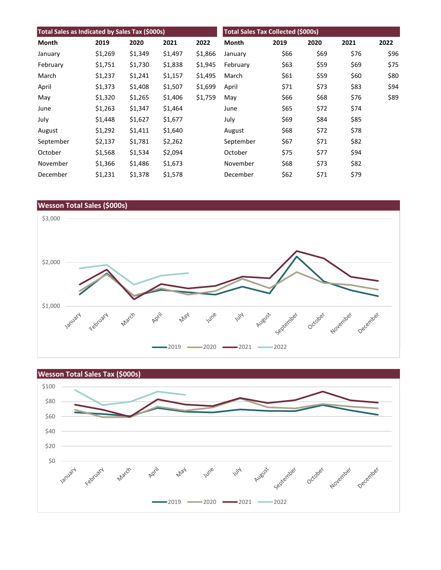| Total Sales as Indicated by Sales Tax (\$000s) |         |         |         | <b>Total Sales Tax Collected (\$000s)</b> |           |      |      |      |      |
|------------------------------------------------|---------|---------|---------|-------------------------------------------|-----------|------|------|------|------|
| Month                                          | 2019    | 2020    | 2021    | 2022                                      | Month     | 2019 | 2020 | 2021 | 2022 |
| January                                        | \$1,269 | \$1,349 | \$1,497 | \$1,866                                   | January   | \$66 | \$69 | \$76 | \$96 |
| February                                       | \$1,751 | \$1,730 | \$1,838 | \$1,945                                   | February  | \$63 | \$59 | \$69 | \$75 |
| March                                          | \$1,237 | \$1,241 | \$1,157 | \$1,495                                   | March     | \$61 | \$59 | \$60 | \$80 |
| April                                          | \$1,373 | \$1,408 | \$1,507 | \$1,699                                   | April     | \$71 | \$73 | \$83 | \$94 |
| May                                            | \$1,320 | \$1,265 | \$1,406 | \$1,759                                   | May       | \$66 | \$68 | \$76 | \$89 |
| June                                           | \$1,263 | \$1,347 | \$1,464 |                                           | June      | \$65 | \$72 | \$74 |      |
| July                                           | \$1,448 | \$1,627 | \$1,677 |                                           | July      | \$69 | \$84 | \$85 |      |
| August                                         | \$1,292 | \$1,411 | \$1,640 |                                           | August    | \$68 | \$72 | \$78 |      |
| September                                      | \$2,137 | \$1,781 | \$2,262 |                                           | September | \$67 | \$71 | \$82 |      |
| October                                        | \$1,568 | \$1,534 | \$2,094 |                                           | October   | \$75 | \$77 | \$94 |      |
| November                                       | \$1,366 | \$1,486 | \$1,673 |                                           | November  | \$68 | \$73 | \$82 |      |
| December                                       | \$1,231 | \$1,378 | \$1,578 |                                           | December  | \$62 | \$71 | \$79 |      |



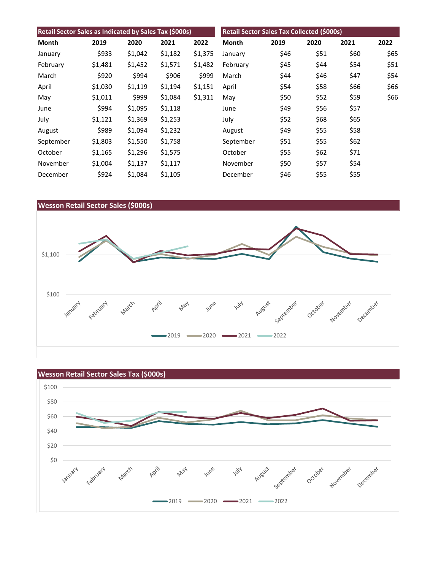| Retail Sector Sales as Indicated by Sales Tax (\$000s) |         |         |         |         | <b>Retail Sector Sales Tax Collected (\$000s)</b> |      |      |      |      |
|--------------------------------------------------------|---------|---------|---------|---------|---------------------------------------------------|------|------|------|------|
| Month                                                  | 2019    | 2020    | 2021    | 2022    | Month                                             | 2019 | 2020 | 2021 | 2022 |
| January                                                | \$933   | \$1,042 | \$1,182 | \$1,375 | January                                           | \$46 | \$51 | \$60 | \$65 |
| February                                               | \$1,481 | \$1,452 | \$1,571 | \$1,482 | February                                          | \$45 | \$44 | \$54 | \$51 |
| March                                                  | \$920   | \$994   | \$906   | \$999   | March                                             | \$44 | \$46 | \$47 | \$54 |
| April                                                  | \$1,030 | \$1,119 | \$1,194 | \$1,151 | April                                             | \$54 | \$58 | \$66 | \$66 |
| May                                                    | \$1,011 | \$999   | \$1,084 | \$1,311 | May                                               | \$50 | \$52 | \$59 | \$66 |
| June                                                   | \$994   | \$1,095 | \$1,118 |         | June                                              | \$49 | \$56 | \$57 |      |
| July                                                   | \$1,121 | \$1,369 | \$1,253 |         | July                                              | \$52 | \$68 | \$65 |      |
| August                                                 | \$989   | \$1,094 | \$1,232 |         | August                                            | \$49 | \$55 | \$58 |      |
| September                                              | \$1,803 | \$1,550 | \$1,758 |         | September                                         | \$51 | \$55 | \$62 |      |
| October                                                | \$1,165 | \$1,296 | \$1,575 |         | October                                           | \$55 | \$62 | \$71 |      |
| November                                               | \$1,004 | \$1,137 | \$1,117 |         | November                                          | \$50 | \$57 | \$54 |      |
| December                                               | \$924   | \$1,084 | \$1,105 |         | December                                          | \$46 | \$55 | \$55 |      |



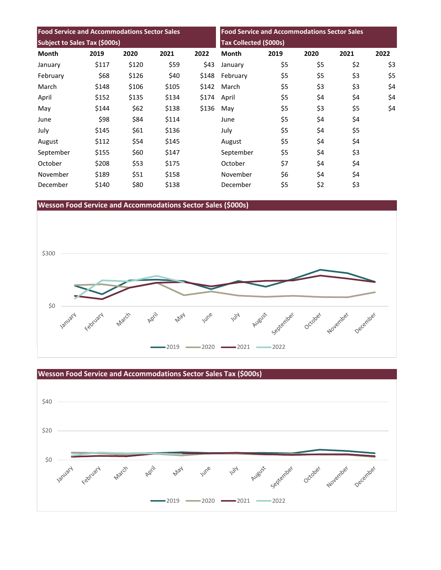| <b>Food Service and Accommodations Sector Sales</b><br>Subject to Sales Tax (\$000s) |       |       |       |       | <b>Food Service and Accommodations Sector Sales</b><br><b>Tax Collected (\$000s)</b> |     |     |     |     |
|--------------------------------------------------------------------------------------|-------|-------|-------|-------|--------------------------------------------------------------------------------------|-----|-----|-----|-----|
|                                                                                      |       |       |       |       |                                                                                      |     |     |     |     |
| January                                                                              | \$117 | \$120 | \$59  | \$43  | January                                                                              | \$5 | \$5 | \$2 | \$3 |
| February                                                                             | \$68  | \$126 | \$40  | \$148 | February                                                                             | \$5 | \$5 | \$3 | \$5 |
| March                                                                                | \$148 | \$106 | \$105 | \$142 | March                                                                                | \$5 | \$3 | \$3 | \$4 |
| April                                                                                | \$152 | \$135 | \$134 | \$174 | April                                                                                | \$5 | \$4 | \$4 | \$4 |
| May                                                                                  | \$144 | \$62  | \$138 | \$136 | May                                                                                  | \$5 | \$3 | \$5 | \$4 |
| June                                                                                 | \$98  | \$84  | \$114 |       | June                                                                                 | \$5 | \$4 | \$4 |     |
| July                                                                                 | \$145 | \$61  | \$136 |       | July                                                                                 | \$5 | \$4 | \$5 |     |
| August                                                                               | \$112 | \$54  | \$145 |       | August                                                                               | \$5 | \$4 | \$4 |     |
| September                                                                            | \$155 | \$60  | \$147 |       | September                                                                            | \$5 | \$4 | \$3 |     |
| October                                                                              | \$208 | \$53  | \$175 |       | October                                                                              | \$7 | \$4 | \$4 |     |
| November                                                                             | \$189 | \$51  | \$158 |       | November                                                                             | \$6 | \$4 | \$4 |     |
| December                                                                             | \$140 | \$80  | \$138 |       | December                                                                             | \$5 | \$2 | \$3 |     |

**Wesson Food Service and Accommodations Sector Sales (\$000s)**



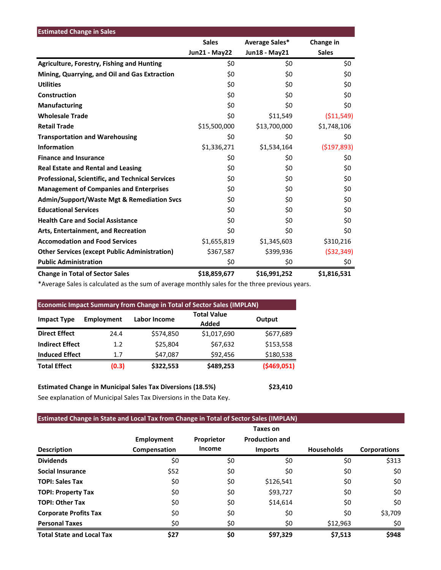| <b>Estimated Change in Sales</b>                        |                      |                |               |
|---------------------------------------------------------|----------------------|----------------|---------------|
|                                                         | <b>Sales</b>         | Average Sales* | Change in     |
|                                                         | <b>Jun21 - May22</b> | Jun18 - May21  | <b>Sales</b>  |
| <b>Agriculture, Forestry, Fishing and Hunting</b>       | \$0                  | \$0            | \$0           |
| Mining, Quarrying, and Oil and Gas Extraction           | \$0                  | \$0            | \$0           |
| <b>Utilities</b>                                        | \$0                  | \$0            | \$0           |
| Construction                                            | \$0                  | \$0            | \$0           |
| <b>Manufacturing</b>                                    | \$0                  | \$0            | \$0           |
| <b>Wholesale Trade</b>                                  | \$0                  | \$11,549       | ( \$11,549)   |
| <b>Retail Trade</b>                                     | \$15,500,000         | \$13,700,000   | \$1,748,106   |
| <b>Transportation and Warehousing</b>                   | \$0                  | \$0            | \$0           |
| <b>Information</b>                                      | \$1,336,271          | \$1,534,164    | ( \$197, 893) |
| <b>Finance and Insurance</b>                            | \$0                  | \$0            | \$0           |
| <b>Real Estate and Rental and Leasing</b>               | \$0                  | \$0            | \$0           |
| <b>Professional, Scientific, and Technical Services</b> | \$0                  | \$0            | \$0           |
| <b>Management of Companies and Enterprises</b>          | \$0                  | \$0            | \$0           |
| <b>Admin/Support/Waste Mgt &amp; Remediation Svcs</b>   | \$0                  | \$0            | \$0           |
| <b>Educational Services</b>                             | \$0                  | \$0            | \$0           |
| <b>Health Care and Social Assistance</b>                | \$0                  | \$0            | \$0           |
| Arts, Entertainment, and Recreation                     | \$0                  | \$0            | \$0           |
| <b>Accomodation and Food Services</b>                   | \$1,655,819          | \$1,345,603    | \$310,216     |
| <b>Other Services (except Public Administration)</b>    | \$367,587            | \$399,936      | ( \$32, 349)  |
| <b>Public Administration</b>                            | \$0                  | \$0            | \$0           |
| <b>Change in Total of Sector Sales</b>                  | \$18,859,677         | \$16,991,252   | \$1,816,531   |

\*Average Sales is calculated as the sum of average monthly sales for the three previous years.

| <b>Economic Impact Summary from Change in Total of Sector Sales (IMPLAN)</b> |            |              |                             |              |  |  |  |  |
|------------------------------------------------------------------------------|------------|--------------|-----------------------------|--------------|--|--|--|--|
| <b>Impact Type</b>                                                           | Employment | Labor Income | <b>Total Value</b><br>Added | Output       |  |  |  |  |
| <b>Direct Effect</b>                                                         | 24.4       | \$574,850    | \$1,017,690                 | \$677,689    |  |  |  |  |
| <b>Indirect Effect</b>                                                       | 1.2        | \$25,804     | \$67,632                    | \$153,558    |  |  |  |  |
| <b>Induced Effect</b>                                                        | 1.7        | \$47,087     | \$92,456                    | \$180,538    |  |  |  |  |
| <b>Total Effect</b>                                                          | (0.3)      | \$322,553    | \$489,253                   | ( \$469,051) |  |  |  |  |

**Estimated Change in Municipal Sales Tax Diversions (18.5%) \$23,410** See explanation of Municipal Sales Tax Diversions in the Data Key.

## **Estimated Change in State and Local Tax from Change in Total of Sector Sales (IMPLAN)**

|                                  |                   |            | Taxes on              |                   |                     |
|----------------------------------|-------------------|------------|-----------------------|-------------------|---------------------|
|                                  | <b>Employment</b> | Proprietor | <b>Production and</b> |                   |                     |
| <b>Description</b>               | Compensation      | Income     | <b>Imports</b>        | <b>Households</b> | <b>Corporations</b> |
| <b>Dividends</b>                 | \$0               | \$0        | \$0                   | \$0               | \$313               |
| <b>Social Insurance</b>          | \$52              | \$0        | \$0                   | \$0               | \$0                 |
| <b>TOPI: Sales Tax</b>           | \$0               | \$0        | \$126,541             | \$0               | \$0                 |
| <b>TOPI: Property Tax</b>        | \$0               | \$0        | \$93,727              | \$0               | \$0                 |
| <b>TOPI: Other Tax</b>           | \$0               | \$0        | \$14,614              | \$0               | \$0                 |
| <b>Corporate Profits Tax</b>     | \$0               | \$0        | \$0                   | \$0               | \$3,709             |
| <b>Personal Taxes</b>            | \$0               | \$0        | \$0                   | \$12,963          | \$0                 |
| <b>Total State and Local Tax</b> | \$27              | \$0        | \$97,329              | \$7,513           | \$948               |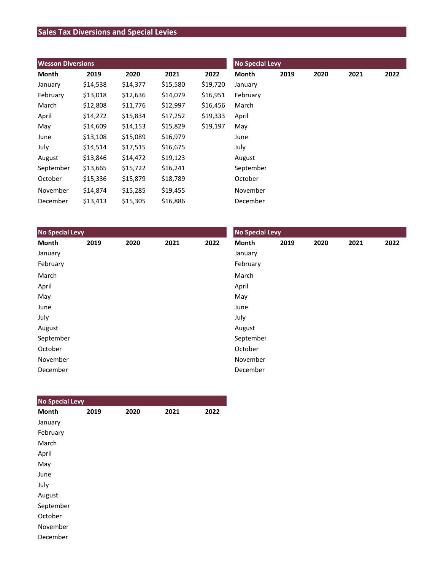# **Sales Tax Diversions and Special Levies**

| <b>Wesson Diversions</b> |          |          |          |          | <b>No Special Levy</b> |      |      |      |      |  |
|--------------------------|----------|----------|----------|----------|------------------------|------|------|------|------|--|
| Month                    | 2019     | 2020     | 2021     | 2022     | Month                  | 2019 | 2020 | 2021 | 2022 |  |
| January                  | \$14,538 | \$14,377 | \$15,580 | \$19,720 | January                |      |      |      |      |  |
| February                 | \$13,018 | \$12,636 | \$14,079 | \$16,951 | February               |      |      |      |      |  |
| March                    | \$12,808 | \$11,776 | \$12,997 | \$16,456 | March                  |      |      |      |      |  |
| April                    | \$14,272 | \$15,834 | \$17,252 | \$19,333 | April                  |      |      |      |      |  |
| May                      | \$14,609 | \$14,153 | \$15,829 | \$19,197 | May                    |      |      |      |      |  |
| June                     | \$13,108 | \$15,089 | \$16,979 |          | June                   |      |      |      |      |  |
| July                     | \$14,514 | \$17,515 | \$16,675 |          | July                   |      |      |      |      |  |
| August                   | \$13,846 | \$14,472 | \$19,123 |          | August                 |      |      |      |      |  |
| September                | \$13,665 | \$15,722 | \$16,241 |          | September              |      |      |      |      |  |
| October                  | \$15,336 | \$15,879 | \$18,789 |          | October                |      |      |      |      |  |
| November                 | \$14,874 | \$15,285 | \$19,455 |          | November               |      |      |      |      |  |
| December                 | \$13,413 | \$15,305 | \$16,886 |          | December               |      |      |      |      |  |

| <b>No Special Levy</b> |      |      |      |      | <b>No Special Levy</b> |      |      |      |      |  |
|------------------------|------|------|------|------|------------------------|------|------|------|------|--|
| Month                  | 2019 | 2020 | 2021 | 2022 | Month                  | 2019 | 2020 | 2021 | 2022 |  |
| January                |      |      |      |      | January                |      |      |      |      |  |
| February               |      |      |      |      | February               |      |      |      |      |  |
| March                  |      |      |      |      | March                  |      |      |      |      |  |
| April                  |      |      |      |      | April                  |      |      |      |      |  |
| May                    |      |      |      |      | May                    |      |      |      |      |  |
| June                   |      |      |      |      | June                   |      |      |      |      |  |
| July                   |      |      |      |      | July                   |      |      |      |      |  |
| August                 |      |      |      |      | August                 |      |      |      |      |  |
| September              |      |      |      |      | September              |      |      |      |      |  |
| October                |      |      |      |      | October                |      |      |      |      |  |
| November               |      |      |      |      | November               |      |      |      |      |  |
| December               |      |      |      |      | December               |      |      |      |      |  |

| <b>No Special Levy</b> |      |      |      |      |
|------------------------|------|------|------|------|
| <b>Month</b>           | 2019 | 2020 | 2021 | 2022 |
| January                |      |      |      |      |
| February               |      |      |      |      |
| March                  |      |      |      |      |
| April                  |      |      |      |      |
| May                    |      |      |      |      |
| June                   |      |      |      |      |
| July                   |      |      |      |      |
| August                 |      |      |      |      |
| September              |      |      |      |      |
| October                |      |      |      |      |
| November               |      |      |      |      |
| December               |      |      |      |      |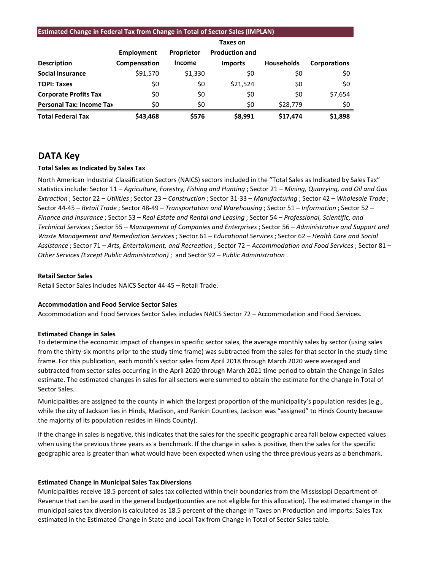#### **Estimated Change in Federal Tax from Change in Total of Sector Sales (IMPLAN)**

|                                 | Employment   | Proprietor    | <b>Production and</b> |                   |                     |
|---------------------------------|--------------|---------------|-----------------------|-------------------|---------------------|
| <b>Description</b>              | Compensation | <b>Income</b> | <b>Imports</b>        | <b>Households</b> | <b>Corporations</b> |
| <b>Social Insurance</b>         | \$91,570     | \$1,330       | \$0                   | \$0               | \$0                 |
| <b>TOPI: Taxes</b>              | \$0          | \$0           | \$21,524              | \$0               | \$0                 |
| <b>Corporate Profits Tax</b>    | \$0          | \$0           | \$0                   | \$0               | \$7,654             |
| <b>Personal Tax: Income Tax</b> | \$0          | \$0           | \$0                   | \$28,779          | \$0                 |
| <b>Total Federal Tax</b>        | \$43,468     | \$576         | \$8,991               | \$17.474          | \$1,898             |

## **DATA Key**

#### **Total Sales as Indicated by Sales Tax**

North American Industrial Classification Sectors (NAICS) sectors included in the "Total Sales as Indicated by Sales Tax" statistics include: Sector 11 – *Agriculture, Forestry, Fishing and Hunting* ; Sector 21 – *Mining, Quarrying, and Oil and Gas Extraction* ; Sector 22 – *Utilities*; Sector 23 – *Construction* ; Sector 31-33 – *Manufacturing* ; Sector 42 – *Wholesale Trade* ; Sector 44-45 – *Retail Trade* ; Sector 48-49 – *Transportation and Warehousing* ; Sector 51 – *Information* ; Sector 52 – *Finance and Insurance* ; Sector 53 – *Real Estate and Rental and Leasing* ; Sector 54 – *Professional, Scientific, and Technical Services*; Sector 55 – *Management of Companies and Enterprises* ; Sector 56 – *Administrative and Support and Waste Management and Remediation Services* ; Sector 61 – *Educational Services*; Sector 62 – *Health Care and Social Assistance* ; Sector 71 – *Arts, Entertainment, and Recreation* ; Sector 72 – *Accommodation and Food Services* ; Sector 81 – *Other Services (Except Public Administration)* ; and Sector 92 – *Public Administration* .

#### **Retail Sector Sales**

Retail Sector Sales includes NAICS Sector 44-45 – Retail Trade.

#### **Accommodation and Food Service Sector Sales**

Accommodation and Food Services Sector Sales includes NAICS Sector 72 – Accommodation and Food Services.

#### **Estimated Change in Sales**

To determine the economic impact of changes in specific sector sales, the average monthly sales by sector (using sales from the thirty-six months prior to the study time frame) was subtracted from the sales for that sector in the study time frame. For this publication, each month's sector sales from April 2018 through March 2020 were averaged and subtracted from sector sales occurring in the April 2020 through March 2021 time period to obtain the Change in Sales estimate. The estimated changes in sales for all sectors were summed to obtain the estimate for the change in Total of Sector Sales.

Municipalities are assigned to the county in which the largest proportion of the municipality's population resides (e.g., while the city of Jackson lies in Hinds, Madison, and Rankin Counties, Jackson was "assigned" to Hinds County because the majority of its population resides in Hinds County).

If the change in sales is negative, this indicates that the sales for the specific geographic area fall below expected values when using the previous three years as a benchmark. If the change in sales is positive, then the sales for the specific geographic area is greater than what would have been expected when using the three previous years as a benchmark.

#### **Estimated Change in Municipal Sales Tax Diversions**

Municipalities receive 18.5 percent of sales tax collected within their boundaries from the Mississippi Department of Revenue that can be used in the general budget(counties are not eligible for this allocation). The estimated change in the municipal sales tax diversion is calculated as 18.5 percent of the change in Taxes on Production and Imports: Sales Tax estimated in the Estimated Change in State and Local Tax from Change in Total of Sector Sales table.